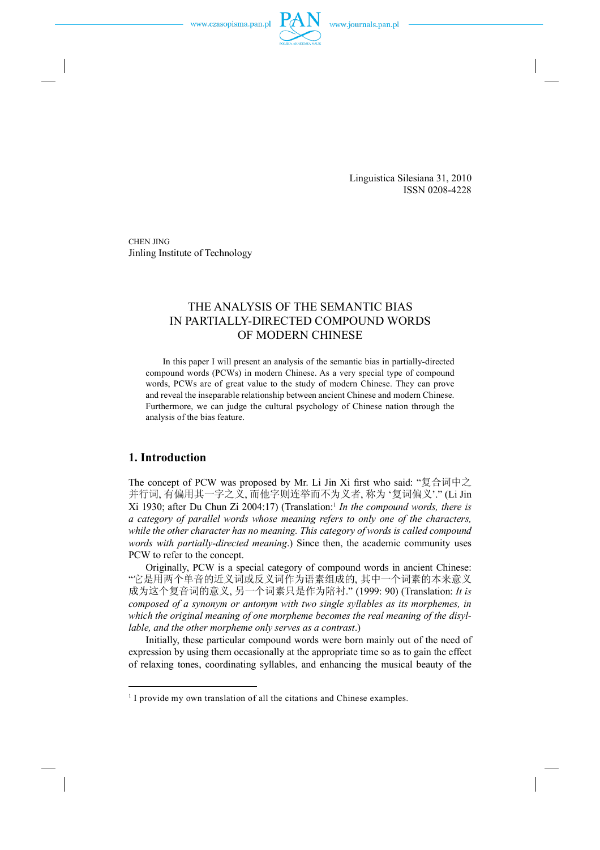Linguistica Silesiana 31, 2010 ISSN 0208-4228

CHEN JING Jinling Institute of Technology

# THE ANALYSIS OF THE SEMANTIC BIAS IN PARTIALLY-DIRECTED COMPOUND WORDS OF MODERN CHINESE

In this paper I will present an analysis of the semantic bias in partially-directed compound words (PCWs) in modern Chinese. As a very special type of compound words, PCWs are of great value to the study of modern Chinese. They can prove and reveal the inseparable relationship between ancient Chinese and modern Chinese. Furthermore, we can judge the cultural psychology of Chinese nation through the analysis of the bias feature.

### **1. Introduction**

The concept of PCW was proposed by Mr. Li Jin Xi first who said: "复合词中之 并行词, 有偏用其一字之义, 而他字则连举而不为义者, 称为 '复词偏义'." (Li Jin Xi 1930; after Du Chun Zi 2004:17) (Translation:<sup>1</sup> *In the compound words, there is a category of parallel words whose meaning refers to only one of the characters, while the other character has no meaning. This category of words is called compound words with partially-directed meaning*.) Since then, the academic community uses PCW to refer to the concept.

Originally, PCW is a special category of compound words in ancient Chinese: "它是用两个单音的近义词或反义词作为语素组成的, 其中一个词素的本来意义 成为这个复音词的意义, 另一个词素只是作为陪衬." (1999: 90) (Translation: *It is composed of a synonym or antonym with two single syllables as its morphemes, in which the original meaning of one morpheme becomes the real meaning of the disyllable, and the other morpheme only serves as a contrast*.)

Initially, these particular compound words were born mainly out of the need of expression by using them occasionally at the appropriate time so as to gain the effect of relaxing tones, coordinating syllables, and enhancing the musical beauty of the

<sup>&</sup>lt;sup>1</sup> I provide my own translation of all the citations and Chinese examples.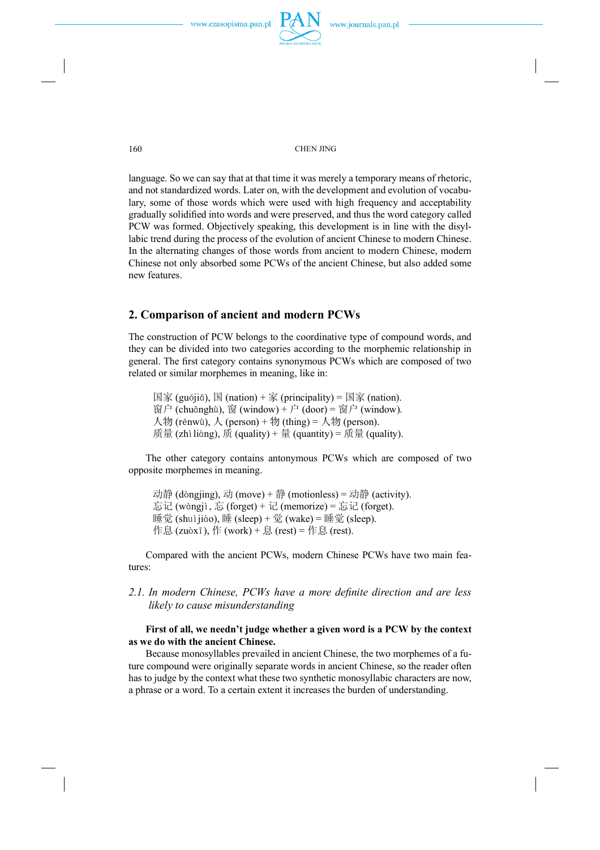language. So we can say that at that time it was merely a temporary means of rhetoric, and not standardized words. Later on, with the development and evolution of vocabulary, some of those words which were used with high frequency and acceptability gradually solidified into words and were preserved, and thus the word category called PCW was formed. Objectively speaking, this development is in line with the disyllabic trend during the process of the evolution of ancient Chinese to modern Chinese. In the alternating changes of those words from ancient to modern Chinese, modern Chinese not only absorbed some PCWs of the ancient Chinese, but also added some new features.

#### **2. Comparison of ancient and modern PCWs**

The construction of PCW belongs to the coordinative type of compound words, and they can be divided into two categories according to the morphemic relationship in general. The first category contains synonymous PCWs which are composed of two related or similar morphemes in meaning, like in:

 $\boxed{\mathbb{E} \mathbb{K}}$  (guójiā),  $\boxed{\mathbb{E}}$  (nation) +  $\boxed{\mathbb{K}}$  (principality) =  $\boxed{\mathbb{E} \mathbb{K}}$  (nation). 窗户 (chuānghù), 窗 (window) + 户 (door) = 窗户 (window). 人物 (rénwù),  $\lambda$  (person) + 物 (thing) = 人物 (person). 质量 (zhì liàng), 质 (quality) + 量 (quantity) = 质量 (quality).

The other category contains antonymous PCWs which are composed of two opposite morphemes in meaning.

动静 (dòngjing), 动 (move) + 静 (motionless) = 动静 (activity). 忘记 (wàngjì, 忘 (forget) + 记 (memorize) = 忘记 (forget). 睡觉 (shuìjiào), 睡 (sleep) + 觉 (wake) = 睡觉 (sleep). 作息 (zuòxī), 作 (work) + 息 (rest) = 作息 (rest).

Compared with the ancient PCWs, modern Chinese PCWs have two main features:

### *2.1. In modern Chinese, PCWs have a more denite direction and are less likely to cause misunderstanding*

#### **First of all, we needn't judge whether a given word is a PCW by the context as we do with the ancient Chinese.**

Because monosyllables prevailed in ancient Chinese, the two morphemes of a future compound were originally separate words in ancient Chinese, so the reader often has to judge by the context what these two synthetic monosyllabic characters are now, a phrase or a word. To a certain extent it increases the burden of understanding.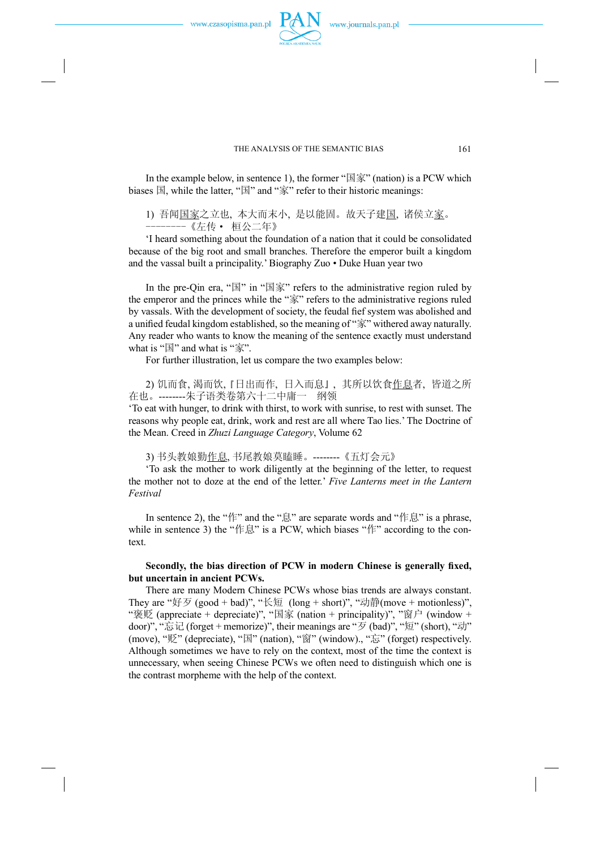In the example below, in sentence 1), the former " $\mathbb{E} \hat{\mathbb{F}}$ " (nation) is a PCW which biases  $\mathbb{E}$ , while the latter, " $\mathbb{E}$ " and " $\hat{\mathbb{X}}$ " refer to their historic meanings:

1) 吾闻国家之立也, 本大而末小, 是以能固。故天子建国, 诸侯立家。 --------《左传· 桓公二年》

'I heard something about the foundation of a nation that it could be consolidated because of the big root and small branches. Therefore the emperor built a kingdom and the vassal built a principality.' Biography Zuo • Duke Huan year two

In the pre-Qin era, " $\mathbb{E}$ " in " $\mathbb{E}$   $\bar{\mathbb{X}}$ " refers to the administrative region ruled by the emperor and the princes while the "家" refers to the administrative regions ruled by vassals. With the development of society, the feudal fief system was abolished and a unified feudal kingdom established, so the meaning of "家" withered away naturally. Any reader who wants to know the meaning of the sentence exactly must understand what is " $\mathbb{E}$ " and what is " $\hat{\mathbb{F}}$ ".

For further illustration, let us compare the two examples below:

2) 饥而食, 渴而饮, 『日出而作, 日入而息』, 其所以饮食<u>作息</u>者, 皆道之所 在也。--------朱子语类卷第六十二中庸一 纲领 'To eat with hunger, to drink with thirst, to work with sunrise, to rest with sunset. The

reasons why people eat, drink, work and rest are all where Tao lies.' The Doctrine of the Mean. Creed in *Zhuzi Language Category*, Volume 62

3) 书头教娘勤作息, 书尾教娘莫瞌睡。--------《五灯会元》

'To ask the mother to work diligently at the beginning of the letter, to request the mother not to doze at the end of the letter.' *Five Lanterns meet in the Lantern Festival* 

In sentence 2), the "作" and the "息" are separate words and "作息" is a phrase, while in sentence 3) the "作息" is a PCW, which biases "作" according to the context.

#### **Secondly, the bias direction of PCW in modern Chinese is generally xed, but uncertain in ancient PCWs.**

There are many Modern Chinese PCWs whose bias trends are always constant. They are "好歹 (good + bad)", "长短 (long + short)", "动静(move + motionless)", "褒贬 (appreciate + depreciate)", "国家 (nation + principality)", "窗户 (window + door)", "忘记 (forget + memorize)", their meanings are "歹 (bad)", "短" (short), "动" (move), "贬" (depreciate), "国" (nation), "窗" (window)., "忘" (forget) respectively. Although sometimes we have to rely on the context, most of the time the context is unnecessary, when seeing Chinese PCWs we often need to distinguish which one is the contrast morpheme with the help of the context.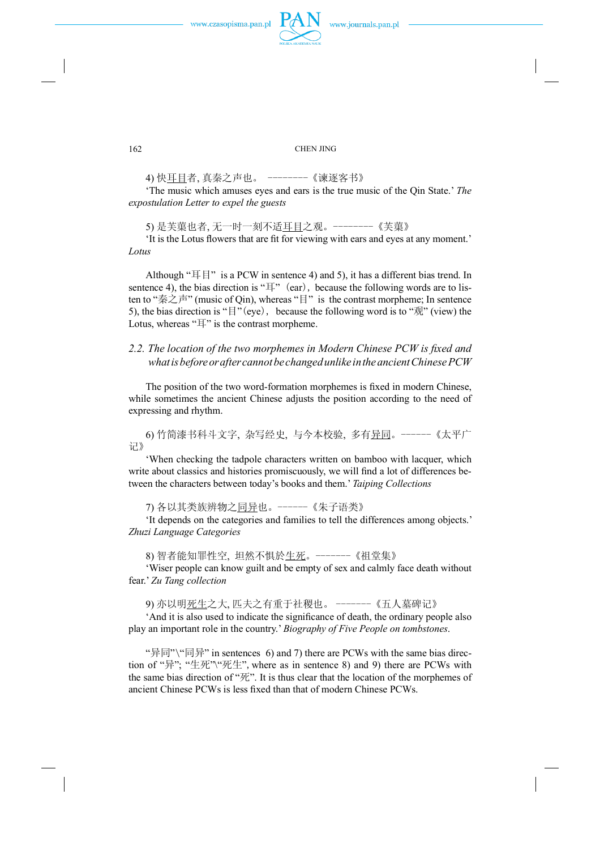#### 162 CHEN JING

4) 快耳目者, 真秦之声也。 --------《谏逐客书》

'The music which amuses eyes and ears is the true music of the Qin State.' *The expostulation Letter to expel the guests* 

5) 是芙蕖也者, 无一时一刻不适耳目之观。--------《芙蕖》

'It is the Lotus flowers that are fit for viewing with ears and eyes at any moment.' *Lotus*

Although " $\mathbb{E}$  |  $\mathbb{F}$ " is a PCW in sentence 4) and 5), it has a different bias trend. In sentence 4), the bias direction is " $\mathbb{H}$ " (ear), because the following words are to listen to "秦之声" (music of Qin), whereas "目" is the contrast morpheme; In sentence 5), the bias direction is " $\mathbb{F}$ "(eye), because the following word is to " $\mathbb{R}$ " (view) the Lotus, whereas "耳" is the contrast morpheme.

### *2.2. The location of the two morphemes in Modern Chinese PCW is xed and whatisbeforeorafter cannotbechangedunlike intheancientChinesePCW*

The position of the two word-formation morphemes is fixed in modern Chinese, while sometimes the ancient Chinese adjusts the position according to the need of expressing and rhythm.

6) 竹简漆书科斗文字, 杂写经史, 与今本校验, 多有异同。------《太平广 记》

'When checking the tadpole characters written on bamboo with lacquer, which write about classics and histories promiscuously, we will find a lot of differences between the characters between today's books and them.' *Taiping Collections*

7) 各以其类族辨物之同异也。------《朱子语类》

'It depends on the categories and families to tell the differences among objects.' *Zhuzi Language Categories*

8) 智者能知罪性空, 坦然不惧於生死。-------《祖堂集》

'Wiser people can know guilt and be empty of sex and calmly face death without fear.' *Zu Tang collection*

9) 亦以明死生之大, 匹夫之有重于社稷也。 -------《五人墓碑记》

'And it is also used to indicate the signicance of death, the ordinary people also play an important role in the country.' *Biography of Five People on tombstones*.

"异同"\"同异" in sentences 6) and 7) there are PCWs with the same bias direction of "异"; "生死"\"死生", where as in sentence 8) and 9) there are PCWs with the same bias direction of " $\overline{\mathcal{R}}$ ". It is thus clear that the location of the morphemes of ancient Chinese PCWs is less fixed than that of modern Chinese PCWs.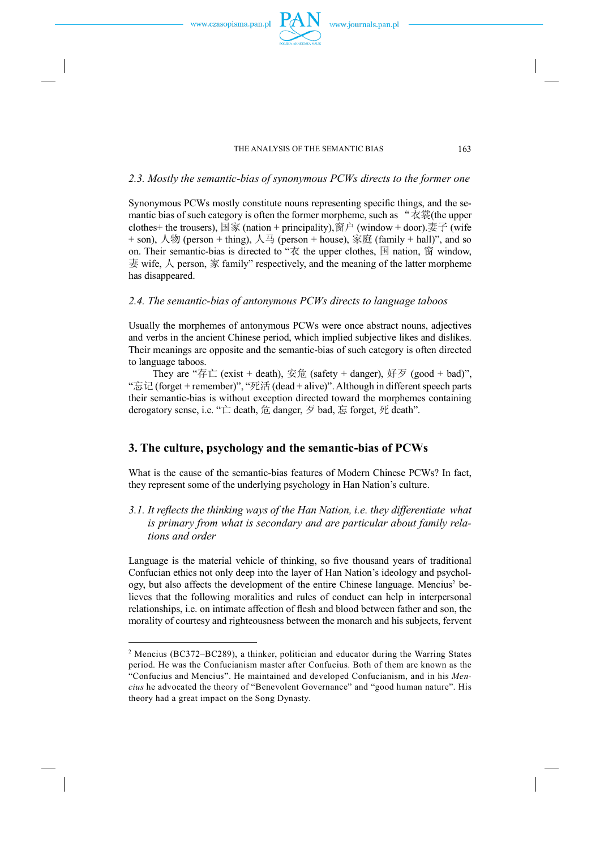#### *2.3. Mostly the semantic-bias of synonymous PCWs directs to the former one*

Synonymous PCWs mostly constitute nouns representing specific things, and the semantic bias of such category is often the former morpheme, such as " $\overline{\mathcal{R}}\ddot{\mathcal{R}}$  (the upper clothes+ the trousers), 国家 (nation + principality), 窗户 (window + door).妻子 (wife  $+$  son),  $\mathcal{N}\mathcal{W}$  (person + thing),  $\mathcal{N}\mathcal{H}$  (person + house), 家庭 (family + hall)", and so on. Their semantic-bias is directed to " $\bar{\mathcal{R}}$  the upper clothes,  $\bar{\mathbb{E}}$  nation,  $\bar{\mathbb{E}}$  window, 妻 wife,  $\land$  person, 家 family" respectively, and the meaning of the latter morpheme has disappeared.

### *2.4. The semantic-bias of antonymous PCWs directs to language taboos*

Usually the morphemes of antonymous PCWs were once abstract nouns, adjectives and verbs in the ancient Chinese period, which implied subjective likes and dislikes. Their meanings are opposite and the semantic-bias of such category is often directed to language taboos.

They are "存亡 (exist + death), 安危 (safety + danger), 好歹 (good + bad)", "忘记(forget + remember)", "死活 (dead + alive)".Although in different speech parts their semantic-bias is without exception directed toward the morphemes containing derogatory sense, i.e. "亡 death, 危 danger, 歹 bad, 忘 forget, 死 death".

### **3. The culture, psychology and the semantic-bias of PCWs**

What is the cause of the semantic-bias features of Modern Chinese PCWs? In fact, they represent some of the underlying psychology in Han Nation's culture.

*3.1. It reects the thinking ways of the Han Nation, i.e. they differentiate what is primary from what is secondary and are particular about family relations and order* 

Language is the material vehicle of thinking, so five thousand years of traditional Confucian ethics not only deep into the layer of Han Nation's ideology and psychology, but also affects the development of the entire Chinese language. Mencius<sup>2</sup> believes that the following moralities and rules of conduct can help in interpersonal relationships, i.e. on intimate affection of flesh and blood between father and son, the morality of courtesy and righteousness between the monarch and his subjects, fervent

<sup>2</sup> Mencius (BC372–BC289), a thinker, politician and educator during the Warring States period. He was the Confucianism master after Confucius. Both of them are known as the "Confucius and Mencius". He maintained and developed Confucianism, and in his *Mencius* he advocated the theory of "Benevolent Governance" and "good human nature". His theory had a great impact on the Song Dynasty.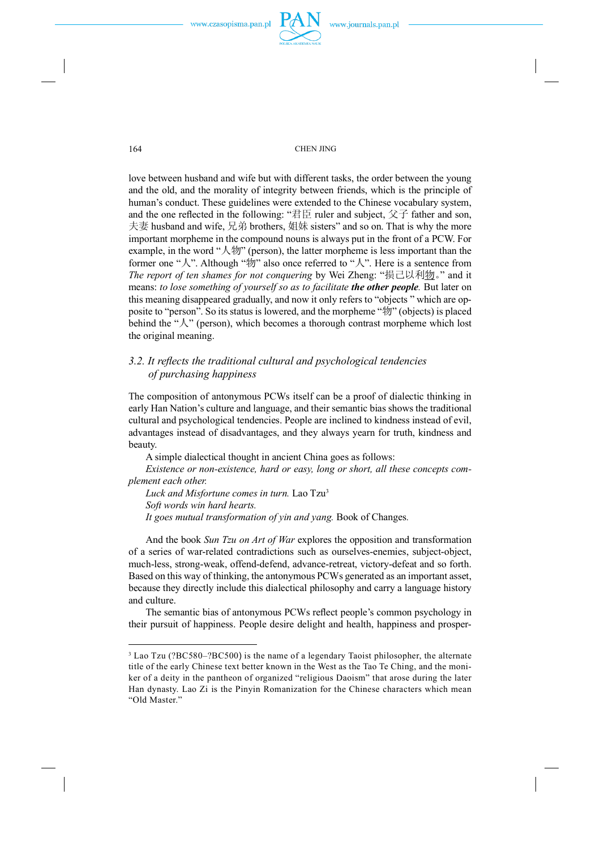love between husband and wife but with different tasks, the order between the young and the old, and the morality of integrity between friends, which is the principle of human's conduct. These guidelines were extended to the Chinese vocabulary system, and the one reflected in the following: "君臣 ruler and subject, 父子 father and son, 夫妻 husband and wife, 兄弟 brothers, 姐妹 sisters" and so on. That is why the more important morpheme in the compound nouns is always put in the front of a PCW. For example, in the word "人物" (person), the latter morpheme is less important than the former one " $\lambda$ ". Although " $\psi$ " also once referred to " $\lambda$ ". Here is a sentence from *The report of ten shames for not conquering* by Wei Zheng: "损己以利物。" and it means: *to lose something of yourself so as to facilitate the other people.* But later on this meaning disappeared gradually, and now it only refers to "objects " which are opposite to "person". So its status is lowered, and the morpheme "物" (objects) is placed behind the " $\lambda$ " (person), which becomes a thorough contrast morpheme which lost the original meaning.

### *3.2. It re ects the traditional cultural and psychological tendencies of purchasing happiness*

The composition of antonymous PCWs itself can be a proof of dialectic thinking in early Han Nation's culture and language, and their semantic bias shows the traditional cultural and psychological tendencies. People are inclined to kindness instead of evil, advantages instead of disadvantages, and they always yearn for truth, kindness and beauty.

A simple dialectical thought in ancient China goes as follows:

*Existence or non-existence, hard or easy, long or short, all these concepts complement each other.*

*Luck and Misfortune comes in turn.* Lao Tzu<sup>3</sup> *Soft words win hard hearts. It goes mutual transformation of yin and yang.* Book of Changes*.* 

And the book *Sun Tzu on Art of War* explores the opposition and transformation of a series of war-related contradictions such as ourselves-enemies, subject-object, much-less, strong-weak, offend-defend, advance-retreat, victory-defeat and so forth. Based on this way of thinking, the antonymous PCWs generated as an important asset, because they directly include this dialectical philosophy and carry a language history and culture.

The semantic bias of antonymous PCWs reflect people's common psychology in their pursuit of happiness. People desire delight and health, happiness and prosper-

<sup>&</sup>lt;sup>3</sup> Lao Tzu (?BC580–?BC500) is the name of a legendary Taoist philosopher, the alternate title of the early Chinese text better known in the West as the Tao Te Ching, and the moniker of a deity in the pantheon of organized "religious Daoism" that arose during the later Han dynasty. Lao Zi is the Pinyin Romanization for the Chinese characters which mean "Old Master."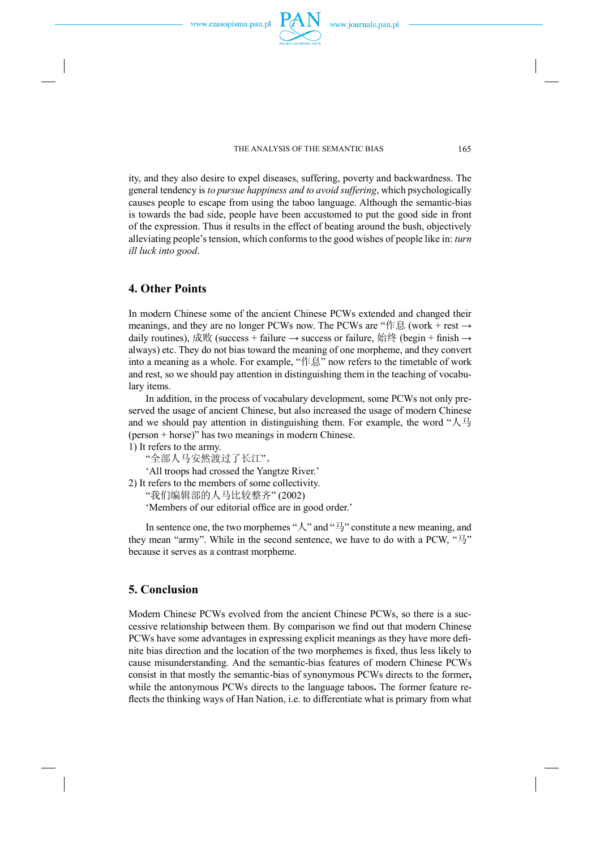ity, and they also desire to expel diseases, suffering, poverty and backwardness. The general tendency is *to pursue happiness and to avoid suffering*, which psychologically causes people to escape from using the taboo language. Although the semantic-bias is towards the bad side, people have been accustomed to put the good side in front of the expression. Thus it results in the effect of beating around the bush, objectively alleviating people's tension, which conformsto the good wishes of people like in: *turn ill luck into good*.

### **4. Other Points**

In modern Chinese some of the ancient Chinese PCWs extended and changed their meanings, and they are no longer PCWs now. The PCWs are "作息 (work + rest → daily routines), 成败 (success + failure → success or failure, 始终 (begin + finish → always) etc. They do not bias toward the meaning of one morpheme, and they convert into a meaning as a whole. For example, "作息" now refers to the timetable of work and rest, so we should pay attention in distinguishing them in the teaching of vocabulary items.

In addition, in the process of vocabulary development, some PCWs not only preserved the usage of ancient Chinese, but also increased the usage of modern Chinese and we should pay attention in distinguishing them. For example, the word " $\mathcal{L}\overline{\mathcal{L}}$ (person + horse)" has two meanings in modern Chinese.

1) It refers to the army.

"全部人马安然渡过了长江"。

'All troops had crossed the Yangtze River.'

2) It refers to the members of some collectivity.

"我们编辑部的人马比较整齐" (2002)

'Members of our editorial office are in good order.'

In sentence one, the two morphemes " $\lambda$ " and " $\exists$ " constitute a new meaning, and they mean "army". While in the second sentence, we have to do with a PCW, "马" because it serves as a contrast morpheme.

## **5. Conclusion**

Modern Chinese PCWs evolved from the ancient Chinese PCWs, so there is a successive relationship between them. By comparison we find out that modern Chinese PCWs have some advantages in expressing explicit meanings as they have more definite bias direction and the location of the two morphemes is fixed, thus less likely to cause misunderstanding. And the semantic-bias features of modern Chinese PCWs consist in that mostly the semantic-bias of synonymous PCWs directs to the former**,**  while the antonymous PCWs directs to the language taboos**.** The former feature re flects the thinking ways of Han Nation, i.e. to differentiate what is primary from what